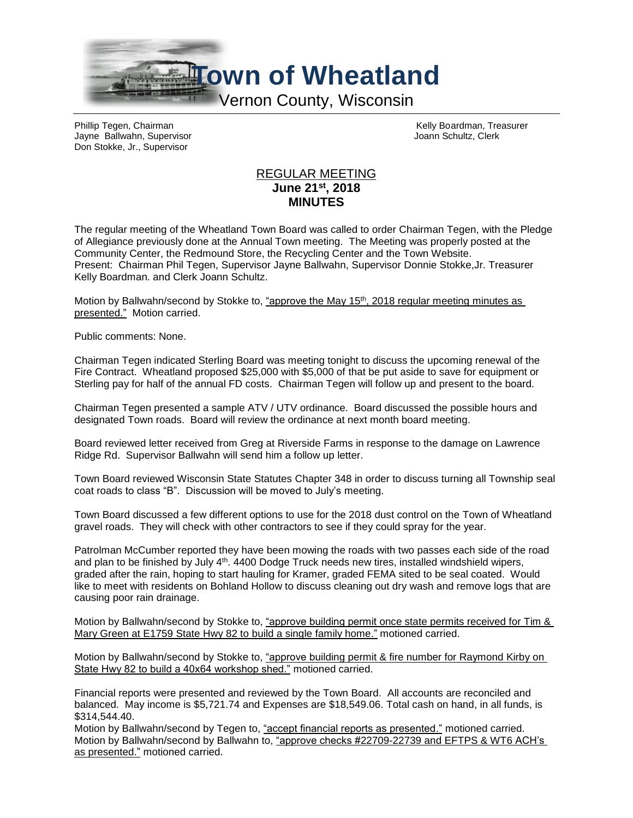

Phillip Tegen, Chairman Kelly Boardman, Treasurer<br>
Velly Boardman, Treasurer<br>
Vann Schultz, Clerk Jayne Ballwahn, Supervisor Don Stokke, Jr., Supervisor

## REGULAR MEETING **June 21st , 2018 MINUTES**

The regular meeting of the Wheatland Town Board was called to order Chairman Tegen, with the Pledge of Allegiance previously done at the Annual Town meeting. The Meeting was properly posted at the Community Center, the Redmound Store, the Recycling Center and the Town Website. Present: Chairman Phil Tegen, Supervisor Jayne Ballwahn, Supervisor Donnie Stokke,Jr. Treasurer Kelly Boardman. and Clerk Joann Schultz.

Motion by Ballwahn/second by Stokke to, "approve the May 15<sup>th</sup>, 2018 regular meeting minutes as presented." Motion carried.

Public comments: None.

Chairman Tegen indicated Sterling Board was meeting tonight to discuss the upcoming renewal of the Fire Contract. Wheatland proposed \$25,000 with \$5,000 of that be put aside to save for equipment or Sterling pay for half of the annual FD costs. Chairman Tegen will follow up and present to the board.

Chairman Tegen presented a sample ATV / UTV ordinance. Board discussed the possible hours and designated Town roads. Board will review the ordinance at next month board meeting.

Board reviewed letter received from Greg at Riverside Farms in response to the damage on Lawrence Ridge Rd. Supervisor Ballwahn will send him a follow up letter.

Town Board reviewed Wisconsin State Statutes Chapter 348 in order to discuss turning all Township seal coat roads to class "B". Discussion will be moved to July's meeting.

Town Board discussed a few different options to use for the 2018 dust control on the Town of Wheatland gravel roads. They will check with other contractors to see if they could spray for the year.

Patrolman McCumber reported they have been mowing the roads with two passes each side of the road and plan to be finished by July 4<sup>th</sup>. 4400 Dodge Truck needs new tires, installed windshield wipers, graded after the rain, hoping to start hauling for Kramer, graded FEMA sited to be seal coated. Would like to meet with residents on Bohland Hollow to discuss cleaning out dry wash and remove logs that are causing poor rain drainage.

Motion by Ballwahn/second by Stokke to, "approve building permit once state permits received for Tim & Mary Green at E1759 State Hwy 82 to build a single family home." motioned carried.

Motion by Ballwahn/second by Stokke to, "approve building permit & fire number for Raymond Kirby on State Hwy 82 to build a 40x64 workshop shed." motioned carried.

Financial reports were presented and reviewed by the Town Board. All accounts are reconciled and balanced. May income is \$5,721.74 and Expenses are \$18,549.06. Total cash on hand, in all funds, is \$314,544.40.

Motion by Ballwahn/second by Tegen to, "accept financial reports as presented." motioned carried. Motion by Ballwahn/second by Ballwahn to, "approve checks #22709-22739 and EFTPS & WT6 ACH's as presented." motioned carried.